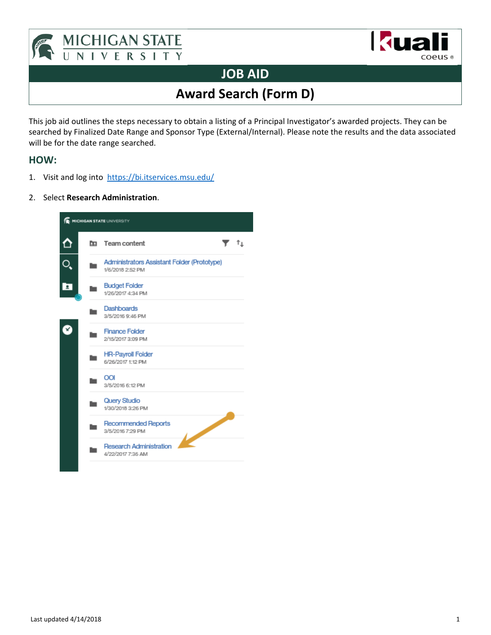



## **JOB AID**

# **Award Search (Form D)**

This job aid outlines the steps necessary to obtain a listing of a Principal Investigator's awarded projects. They can be searched by Finalized Date Range and Sponsor Type (External/Internal). Please note the results and the data associated will be for the date range searched.

### **HOW:**

- 1. Visit and log into https://bi.itservices.msu.edu/
- 2. Select **Research Administration**.

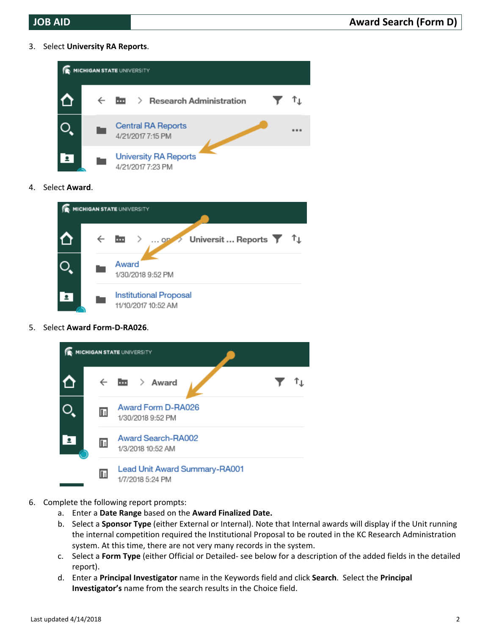3. Select **University RA Reports**.



4. Select **Award**.



5. Select **Award Form‐D‐RA026**.



- 6. Complete the following report prompts:
	- a. Enter a **Date Range** based on the **Award Finalized Date.**
	- b. Select a **Sponsor Type** (either External or Internal). Note that Internal awards will display if the Unit running the internal competition required the Institutional Proposal to be routed in the KC Research Administration system. At this time, there are not very many records in the system.
	- c. Select a **Form Type** (either Official or Detailed‐ see below for a description of the added fields in the detailed report).
	- d. Enter a **Principal Investigator** name in the Keywords field and click **Search**. Select the **Principal Investigator's** name from the search results in the Choice field.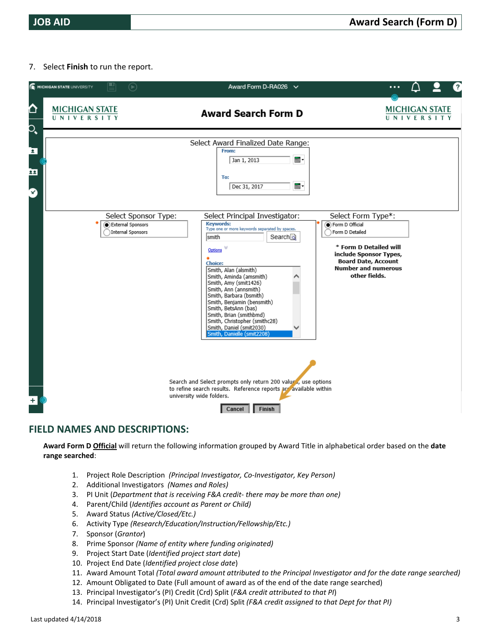7. Select **Finish** to run the report.

|                | MICHIGAN STATE UNIVERSITY                  | ₽<br>$(\blacktriangleright)$                                   | Award Form D-RA026 $\vee$                                                                                                                                                                                                                                                                                                                                                                                                                                          | ?                                                                                                                                                                                         |
|----------------|--------------------------------------------|----------------------------------------------------------------|--------------------------------------------------------------------------------------------------------------------------------------------------------------------------------------------------------------------------------------------------------------------------------------------------------------------------------------------------------------------------------------------------------------------------------------------------------------------|-------------------------------------------------------------------------------------------------------------------------------------------------------------------------------------------|
| ᅀ<br>$\bullet$ | <b>MICHIGAN STATE</b><br><b>UNIVERSITY</b> |                                                                | <b>Award Search Form D</b>                                                                                                                                                                                                                                                                                                                                                                                                                                         | <b>MICHIGAN STATE</b><br>UNIVERSITY                                                                                                                                                       |
| Σ<br>22<br>Ø   |                                            |                                                                | Select Award Finalized Date Range:<br>From:<br>▦<br>Jan 1, 2013<br>To:<br>⊞▼<br>Dec 31, 2017                                                                                                                                                                                                                                                                                                                                                                       |                                                                                                                                                                                           |
|                |                                            | Select Sponsor Type:<br>External Sponsors<br>Internal Sponsors | Select Principal Investigator:<br><b>Keywords:</b><br>Type one or more keywords separated by spaces.<br>Search<br> smith<br>Options<br><b>Choice:</b><br>Smith, Alan (alsmith)<br>Smith, Aminda (amsmith)<br>Smith, Amy (smit1426)<br>Smith, Ann (annsmith)<br>Smith, Barbara (bsmith)<br>Smith, Benjamin (bensmith)<br>Smith, BetsAnn (bas)<br>Smith, Brian (smithbmd)<br>Smith, Christopher (smithc28)<br>Smith, Daniel (smit2030)<br>Smith, Danielle (smit2208) | Select Form Type*:<br>Form D Official<br>Form D Detailed<br>* Form D Detailed will<br>include Sponsor Types,<br><b>Board Date, Account</b><br><b>Number and numerous</b><br>other fields. |
|                |                                            |                                                                | Search and Select prompts only return 200 values, use options<br>to refine search results. Reference reports are available within<br>university wide folders.<br>Finish<br>Cancel                                                                                                                                                                                                                                                                                  |                                                                                                                                                                                           |

#### **FIELD NAMES AND DESCRIPTIONS:**

**Award Form D Official** will return the following information grouped by Award Title in alphabetical order based on the **date range searched**:

- 1. Project Role Description *(Principal Investigator, Co‐Investigator, Key Person)*
- 2. Additional Investigators *(Names and Roles)*
- 3. PI Unit (*Department that is receiving F&A credit‐ there may be more than one)*
- 4. Parent/Child (*Identifies account as Parent or Child)*
- 5. Award Status *(Active/Closed/Etc.)*
- 6. Activity Type *(Research/Education/Instruction/Fellowship/Etc.)*
- 7. Sponsor (*Grantor*)
- 8. Prime Sponsor *(Name of entity where funding originated)*
- 9. Project Start Date (*Identified project start date*)
- 10. Project End Date (*Identified project close date*)
- 11. Award Amount Total *(Total award amount attributed to the Principal Investigator and for the date range searched)*
- 12. Amount Obligated to Date (Full amount of award as of the end of the date range searched)
- 13. Principal Investigator's (PI) Credit (Crd) Split (*F&A credit attributed to that PI*)
- 14. Principal Investigator's (PI) Unit Credit (Crd) Split *(F&A credit assigned to that Dept for that PI)*